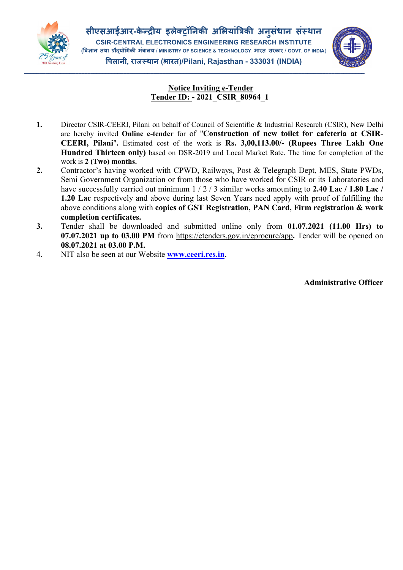

\_\_\_\_\_\_\_\_\_\_\_\_\_\_\_\_\_\_\_\_\_\_\_\_\_\_\_\_\_\_\_\_\_\_\_\_\_\_\_\_\_\_\_\_\_\_\_\_\_\_\_\_\_\_\_\_\_\_\_\_\_\_\_\_\_\_\_\_\_\_\_\_\_\_\_\_\_\_\_\_\_\_\_\_\_\_\_\_\_\_\_\_\_\_\_\_\_\_\_\_\_\_\_\_\_\_\_\_\_\_\_\_\_



## Notice Inviting e-Tender Tender ID: - 2021\_CSIR\_80964\_1

- 1. Director CSIR-CEERI, Pilani on behalf of Council of Scientific & Industrial Research (CSIR), New Delhi are hereby invited Online e-tender for of "Construction of new toilet for cafeteria at CSIR-CEERI, Pilani". Estimated cost of the work is Rs. 3,00,113.00/- (Rupees Three Lakh One Hundred Thirteen only) based on DSR-2019 and Local Market Rate. The time for completion of the work is 2 (Two) months.
- 2. Contractor's having worked with CPWD, Railways, Post & Telegraph Dept, MES, State PWDs, Semi Government Organization or from those who have worked for CSIR or its Laboratories and have successfully carried out minimum  $1/2/3$  similar works amounting to 2.40 Lac / 1.80 Lac / 1.20 Lac respectively and above during last Seven Years need apply with proof of fulfilling the above conditions along with copies of GST Registration, PAN Card, Firm registration & work completion certificates.
- 3. Tender shall be downloaded and submitted online only from 01.07.2021 (11.00 Hrs) to 07.07.2021 up to 03.00 PM from https://etenders.gov.in/eprocure/app. Tender will be opened on 08.07.2021 at 03.00 P.M.
- 4. NIT also be seen at our Website **[www.ceeri.res.in](http://www.ceeri.res.in/)**.

Administrative Officer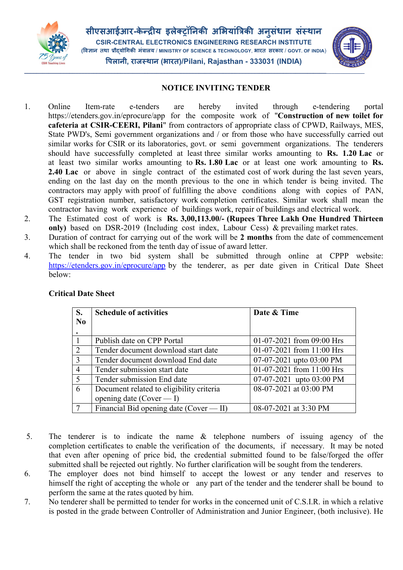

सीएसआईआर-केन्द्रीय इलेक्ट्रॉनिकी अभियांत्रिकी अनुसंधान संस्थान ु CSIR-CENTRAL ELECTRONICS ENGINEERING RESEARCH INSTITUTE (विज्ञान तथा प्रौदयोगिकी मंत्रालय / MINISTRY OF SCIENCE & TECHNOLOGY, भारत सरकार / GOVT. OF INDIA) पलानी, राज थान (भारत)/Pilani, Rajasthan - 333031 (INDIA)



## NOTICE INVITING TENDER

- 1. Online Item-rate e-tenders are hereby invited through e-tendering portal https://etenders.gov.in/eprocure/app for the composite work of "Construction of new toilet for cafeteria at CSIR-CEERI, Pilani" from contractors of appropriate class of CPWD, Railways, MES, State PWD's, Semi government organizations and / or from those who have successfully carried out similar works for CSIR or its laboratories, govt. or semi government organizations. The tenderers should have successfully completed at least three similar works amounting to Rs. 1.20 Lac or at least two similar works amounting to Rs. 1.80 Lac or at least one work amounting to Rs. 2.40 Lac or above in single contract of the estimated cost of work during the last seven years, ending on the last day on the month previous to the one in which tender is being invited. The contractors may apply with proof of fulfilling the above conditions along with copies of PAN, GST registration number, satisfactory work completion certificates. Similar work shall mean the contractor having work experience of buildings work, repair of buildings and electrical work.
- 2. The Estimated cost of work is Rs. 3,00,113.00/- (Rupees Three Lakh One Hundred Thirteen only) based on DSR-2019 (Including cost index, Labour Cess) & prevailing market rates.
- 3. Duration of contract for carrying out of the work will be 2 months from the date of commencement which shall be reckoned from the tenth day of issue of award letter.
- 4. The tender in two bid system shall be submitted through online at CPPP website: https://etenders.gov.in/eprocure/app by the tenderer, as per date given in Critical Date Sheet below:

| S.             | <b>Schedule of activities</b>            | Date & Time               |
|----------------|------------------------------------------|---------------------------|
| N <sub>0</sub> |                                          |                           |
|                |                                          |                           |
|                | Publish date on CPP Portal               | 01-07-2021 from 09:00 Hrs |
| $\mathcal{L}$  | Tender document download start date      | 01-07-2021 from 11:00 Hrs |
| $\mathcal{R}$  | Tender document download End date        | 07-07-2021 upto 03:00 PM  |
| $\overline{4}$ | Tender submission start date             | 01-07-2021 from 11:00 Hrs |
| $\overline{5}$ | Tender submission End date               | 07-07-2021 upto 03:00 PM  |
| 6              | Document related to eligibility criteria | 08-07-2021 at 03:00 PM    |
|                | opening date (Cover $- I$ )              |                           |
|                | Financial Bid opening date (Cover - II)  | 08-07-2021 at 3:30 PM     |

## Critical Date Sheet

- 5. The tenderer is to indicate the name & telephone numbers of issuing agency of the completion certificates to enable the verification of the documents, if necessary. It may be noted that even after opening of price bid, the credential submitted found to be false/forged the offer submitted shall be rejected out rightly. No further clarification will be sought from the tenderers.
- 6. The employer does not bind himself to accept the lowest or any tender and reserves to himself the right of accepting the whole or any part of the tender and the tenderer shall be bound to perform the same at the rates quoted by him.
- 7. No tenderer shall be permitted to tender for works in the concerned unit of C.S.I.R. in which a relative is posted in the grade between Controller of Administration and Junior Engineer, (both inclusive). He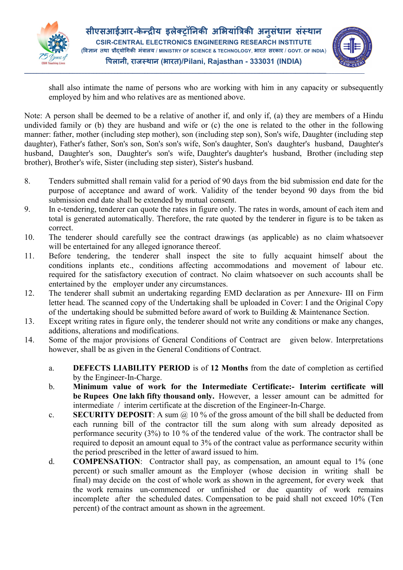

सीएसआईआर-केन्द्रीय इलेक्ट्रॉनिकी अभियांत्रिकी अनुसंधान संस्थान ु CSIR-CENTRAL ELECTRONICS ENGINEERING RESEARCH INSTITUTE (विज्ञान तथा प्रौदयोगिकी मंत्रालय / MINISTRY OF SCIENCE & TECHNOLOGY, भारत सरकार / GOVT. OF INDIA) पलानी, राज थान (भारत)/Pilani, Rajasthan - 333031 (INDIA)



shall also intimate the name of persons who are working with him in any capacity or subsequently employed by him and who relatives are as mentioned above.

Note: A person shall be deemed to be a relative of another if, and only if, (a) they are members of a Hindu undivided family or (b) they are husband and wife or (c) the one is related to the other in the following manner: father, mother (including step mother), son (including step son), Son's wife, Daughter (including step daughter), Father's father, Son's son, Son's son's wife, Son's daughter, Son's daughter's husband, Daughter's husband, Daughter's son, Daughter's son's wife, Daughter's daughter's husband, Brother (including step brother), Brother's wife, Sister (including step sister), Sister's husband.

- 8. Tenders submitted shall remain valid for a period of 90 days from the bid submission end date for the purpose of acceptance and award of work. Validity of the tender beyond 90 days from the bid submission end date shall be extended by mutual consent.
- 9. In e-tendering, tenderer can quote the rates in figure only. The rates in words, amount of each item and total is generated automatically. Therefore, the rate quoted by the tenderer in figure is to be taken as correct.
- 10. The tenderer should carefully see the contract drawings (as applicable) as no claim whatsoever will be entertained for any alleged ignorance thereof.
- 11. Before tendering, the tenderer shall inspect the site to fully acquaint himself about the conditions inplants etc., conditions affecting accommodations and movement of labour etc. required for the satisfactory execution of contract. No claim whatsoever on such accounts shall be entertained by the employer under any circumstances.
- 12. The tenderer shall submit an undertaking regarding EMD declaration as per Annexure- III on Firm letter head. The scanned copy of the Undertaking shall be uploaded in Cover: I and the Original Copy of the undertaking should be submitted before award of work to Building & Maintenance Section.
- 13. Except writing rates in figure only, the tenderer should not write any conditions or make any changes, additions, alterations and modifications.
- 14. Some of the major provisions of General Conditions of Contract are given below. Interpretations however, shall be as given in the General Conditions of Contract.
	- a. DEFECTS LIABILITY PERIOD is of 12 Months from the date of completion as certified by the Engineer-In-Charge.
	- b. Minimum value of work for the Intermediate Certificate:- Interim certificate will be Rupees One lakh fifty thousand only. However, a lesser amount can be admitted for intermediate / interim certificate at the discretion of the Engineer-In-Charge.
	- c. SECURITY DEPOSIT: A sum  $\omega$  10 % of the gross amount of the bill shall be deducted from each running bill of the contractor till the sum along with sum already deposited as performance security (3%) to 10 % of the tendered value of the work. The contractor shall be required to deposit an amount equal to 3% of the contract value as performance security within the period prescribed in the letter of award issued to him.
	- d. COMPENSATION: Contractor shall pay, as compensation, an amount equal to 1% (one percent) or such smaller amount as the Employer (whose decision in writing shall be final) may decide on the cost of whole work as shown in the agreement, for every week that the work remains un-commenced or unfinished or due quantity of work remains incomplete after the scheduled dates. Compensation to be paid shall not exceed 10% (Ten percent) of the contract amount as shown in the agreement.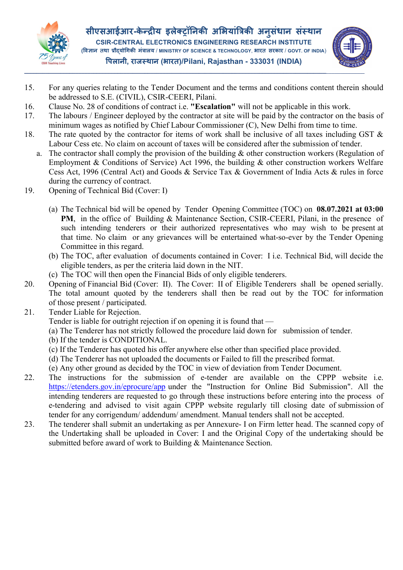



- 15. For any queries relating to the Tender Document and the terms and conditions content therein should be addressed to S.E. (CIVIL), CSIR-CEERI, Pilani.
- 16. Clause No. 28 of conditions of contract i.e. "Escalation" will not be applicable in this work.
- 17. The labours / Engineer deployed by the contractor at site will be paid by the contractor on the basis of minimum wages as notified by Chief Labour Commissioner (C), New Delhi from time to time.
- 18. The rate quoted by the contractor for items of work shall be inclusive of all taxes including GST & Labour Cess etc. No claim on account of taxes will be considered after the submission of tender.
	- a. The contractor shall comply the provision of the building & other construction workers (Regulation of Employment & Conditions of Service) Act 1996, the building & other construction workers Welfare Cess Act, 1996 (Central Act) and Goods & Service Tax & Government of India Acts & rules in force during the currency of contract.
- 19. Opening of Technical Bid (Cover: I)
	- (a) The Technical bid will be opened by Tender Opening Committee (TOC) on 08.07.2021 at 03:00 PM, in the office of Building & Maintenance Section, CSIR-CEERI, Pilani, in the presence of such intending tenderers or their authorized representatives who may wish to be present at that time. No claim or any grievances will be entertained what-so-ever by the Tender Opening Committee in this regard.
	- (b) The TOC, after evaluation of documents contained in Cover: I i.e. Technical Bid, will decide the eligible tenders, as per the criteria laid down in the NIT.
	- (c) The TOC will then open the Financial Bids of only eligible tenderers.
- 20. Opening of Financial Bid (Cover: II). The Cover: II of Eligible Tenderers shall be opened serially. The total amount quoted by the tenderers shall then be read out by the TOC for information of those present / participated.
- 21. Tender Liable for Rejection.

Tender is liable for outright rejection if on opening it is found that —

- (a) The Tenderer has not strictly followed the procedure laid down for submission of tender.
- (b) If the tender is CONDITIONAL.
- (c) If the Tenderer has quoted his offer anywhere else other than specified place provided.
- (d) The Tenderer has not uploaded the documents or Failed to fill the prescribed format.
- (e) Any other ground as decided by the TOC in view of deviation from Tender Document.
- 22. The instructions for the submission of e-tender are available on the CPPP website i.e. https://etenders.gov.in/eprocure/app under the "Instruction for Online Bid Submission". All the intending tenderers are requested to go through these instructions before entering into the process of e-tendering and advised to visit again CPPP website regularly till closing date of submission of tender for any corrigendum/ addendum/ amendment. Manual tenders shall not be accepted.
- 23. The tenderer shall submit an undertaking as per Annexure- I on Firm letter head. The scanned copy of the Undertaking shall be uploaded in Cover: I and the Original Copy of the undertaking should be submitted before award of work to Building & Maintenance Section.